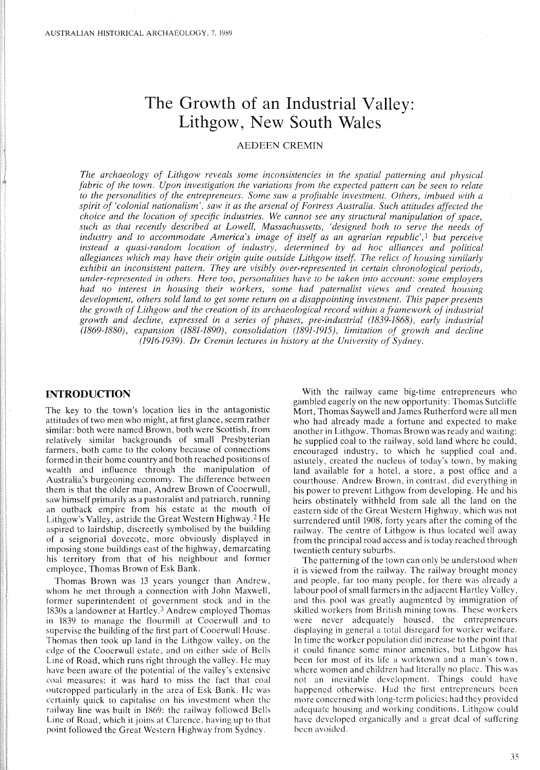# **The Growth of an Industrial Valley: Lithgow, New South Wales**

# AEDEEN CREMIN

*The archaeology of Lithgow reveals some inconsistencies in the spatial patterning and physical fabric of the town. Upon investigation the variations from the expected pattern can be seen to relate to the personalities of the entrepreneurs. Some saw a profitable investment. Others, imbued with a spirit of 'colonial nationalism', saw it as the arsenal of Fortress Australia. Such attitudes affected the choice and the location of specific industries. We cannot see any structural manipulation of space, such as that recently described at Lowell, Massachussetts, 'designed both to serve the needs of industry and to accommodate America's image of itself as an agrarian republic',1 but perceive instead a quasi-random location of industry, determined by ad hoc alliances and political allegiances which may have their origin quite outside Lithgow itself. The relics of housing similarly exhibit an inconsistent pattern. They are visibly over-represented in certain chronological periods, under-represented in others. Here too, personalities have to be taken into account: some employers had no interest in housing their workers, some had paternalist views and created housing development, others sold land to get some return on a disappointing investment. This paper presents the growth of Lithgow and the creation of its archaeological record within a framework of industrial growth and decline, expressed in a series of phases, pre-industrial* (1839-1868), *early industrial (1869-1880), expansion (1881-1890), consolidation* (1891-1915), *limitation of growth and decline (1916-1939). Dr Cremin lectures in history at the University of Sydney.*

# **INTRODUCTION**

The key to the town's location lies in the antagonistic attitudes of two men who might, at first glance, seem rather similar: both were named Brown, both were Scottish, from relatively similar backgrounds of small Presbyterian farmers, both came to the colony because of connections formed in their home country and both reached positions of wealth and influence through the manipulation of Australia's burgeoning economy. The difference between them is that the older man, Andrew Brown of Cooerwull, saw himself primarily as a pastoralist and patriarch, running an outback empire from his estate at the mouth of Lithgow's Valley, astride the Great Western Highway.2 He aspired to lairdship, discreetly symbolised by the building of a seignorial dovecote, more obviously displayed in imposing stone buildings east of the highway, demarcating his territory from that of his neighbour and former employee, Thomas Brown of Esk Bank.

Thomas Brown was 13 years younger than Andrew, whom he met through a connection with John Maxwell, former superintendent of government stock and in the 1830s a landowner at Hartley.3 Andrew employed Thomas in 1839 to manage the flourmill at Cooerwull and to supervise the building of the first part of Cooerwull House. Thomas then took up land in the Lithgow valley, on the edge of the Cooerwull estate, and on either side of Bells Line of Road, which runs right through the valley. He may have been aware of the potential of the valley's extensive coal measures: it was hard to miss the fact that coal outcropped particularly in the area of Esk Bank. He was certainly quick to capitalise on his investment when the railway line was built in 1869: the railway followed Bells Line of Road, which it joins at Clarence, having up to that point followed the Great Western Highway from Sydney.

With the railway came big-time entrepreneurs who gambled eagerly on the new opportunity: Thomas Sutcliffe Mort, Thomas Saywell and James Rutherford were all men who had already made a fortune and expected to make another in Lithgow. Thomas Brown was ready and waiting: he supplied coal to the railway, sold land where he could, encouraged industry, to which he supplied coal and, astutely, created the nucleus of today's town, by making land available for a hotel, a store, a post office and a courthouse. Andrew Brown, in contrast, did everything in his power to prevent Lithgow from developing. He and his heirs obstinately withheld from sale all the land on the eastern side of the Great Western Highway, which was not surrendered until 1908, forty years after the coming of the railway. The centre of Lithgow is thus located well away from the principal road access and is today reached through twentieth century suburbs.

The patterning of the town can only be understood when it is viewed from the railway. The railway brought money and people, far too many people, for there was already a labour pool of small farmers in the adjacent Hartley Valley, and this pool was greatly augmented by immigration of skilled workers from British mining towns. These workers were never adequately housed, the entrepreneurs displaying in general a total disregard for worker welfare. **In** time the worker population did increase to the point that it could finance some minor amenities, but Lithgow has been for most of its life a worktown and a man's town, where women and children had literally no place. This was not an inevitable development. Things could have happened otherwise. Had the first entrepreneurs been more concerned with long-term policies: had they provided adequate housing and working conditions, Lithgow could have developed organically and a great deal of suffering been avoided.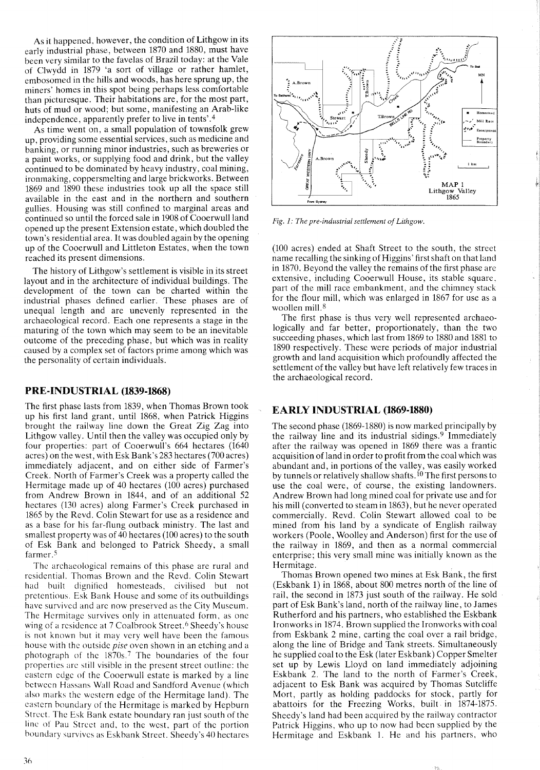As it happened, however, the condition of Lithgow in its early industrial phase, between 1870 and 1880, must have been very similar to the favelas of Brazil today: at the Vale of Clwydd in 1879 'a sort of village or rather hamlet, embosomed in the hills and woods, has here sprung up, the miners' homes in this spot being perhaps less comfortable than picturesque. Their habitations are, for the most part, huts of mud or wood; but some, manifesting an Arab-like independence, apparently prefer to live in tents'.4

As time went on, a small population of townsfolk grew up, providing some essential services, such as medicine and banking, or running minor industries, such as breweries or a paint works, or supplying food and drink, but the valley continued to be dominated by heavy industry, coal mining, ironmaking, coppersmelting and large brickworks. Between 1869 and 1890 these industries took up all the space still available in the east and in the northern and southern gullies. Housing was still confined to marginal areas and continued so until the forced sale in 1908 of Cooerwull land opened up the present Extension estate, which doubled the town's residential area. It was doubled again by the opening up of the Cooerwull and Littleton Estates, when the town reached its present dimensions.

The history of Lithgow's settlement is visible in its street layout and in the architecture of individual buildings. The development of the town can be charted within the industrial phases defined earlier. These phases are of unequal length and are unevenly represented in the archaeological record. Each one represents a stage in the maturing of the town which may seem to be an inevitable outcome of the preceding phase, but which was in reality caused by a complex set of factors prime among which was the personality of certain individuals.

#### PRE-INDUSTRIAL (1839-1868)

The first phase lasts from 1839, when Thomas Brown took up his first land grant, until 1868, when Patrick Higgins brought the railway line down the Great Zig Zag into Lithgow valley. Until then the valley was occupied only by four properties: part of Cooerwull's 664 hectares (1640 acres) on the west, with Esk Bank's 283 hectares (700 acres) immediately adjacent, and on either side of Farmer's Creek. North of Farmer's Creek was a property called the Hermitage made up of 40 hectares (100 acres) purchased from Andrew Brown in 1844, and of an additional 52 hectares (130 acres) along Farmer's Creek purchased in 1865 by the Revd. Colin Stewart for use as a residence and as a base for his far-flung outback ministry. The last and smallest property was of 40 hectares (100 acres) to the south of Esk Bank and belonged to Patrick Sheedy, a small farmer.<sup>5</sup>

The archaeological remains of this phase are rural and residential. Thomas Brown and the Revd. Colin Stewart had built dignified homesteads, civilised but not pretentious. Esk Bank House and some of its outbuildings have survivcd and arc now preserved as the City Museum. The Hermitage survives only in attenuated form, as one wing of a residence at 7 Coalbrook Street.<sup>6</sup> Sheedy's house is not known but it may very well have been the famous house with the outside *pise* oven shown in an etching and a photograph of the 1870s <sup>7</sup> The boundaries of the four properties arc still visible in the present street outline: the eastern edge of the Cooerwull estate is marked by a line between Hassans Wall Road and Sandford Avenue (which also marks the western edge of the Hermitage land). The eastern boundary of the Hermitage is marked by Hepburn Street. The Esk Bank estate boundary ran just south of the line of Pau Street and, to the west, part of the portion boundary survives as Eskbank Street. Sheedy's 40 hectares



*Fig. 1: The pre-industrial settlement of Lithgow.*

(100 acres) ended at Shaft Street to the south, the street name recalling the sinking of Higgins' first shaft on that land in 1870. Beyond the valley the remains of the first phase are extensive, including Cooerwull House, its stable square, part of the mill race embankment, and the chimney stack for the flour mill, which was enlarged in 1867 for use as a woollen mill. 8

The first phase is thus very well represented arehaeologically and far better, proportionately, than the two succeeding phases, which last from 1869 to 1880 and 1881 to 1890 respectively. These were periods of major industrial growth and land acquisition which profoundly affected the settlement of the valley but have left relatively few traces in the archaeological record.

#### EARLY INDUSTRIAL (1869-1880)

The second phase (1869-1880) is now marked principally by the railway line and its industrial sidings.<sup>9</sup> Immediately after the railway was opened in 1869 there was a frantic acquisition of land in order to profit from the coal which was abundant and, in portions of the valley, was easily worked by tunnels or relatively shallow shafts.<sup>10</sup> The first persons to use the coal were, of course, the existing landowners. Andrew Brown had long mined coal for private use and for his mill (converted to steam in 1863), but he never operated commercially. Revd. Colin Stewart allowed coal to be mined from his land by a syndicate of English railway workers (Poole, Woolley and Anderson) first for the use of the railway in 1869, and then as a normal commercial enterprise; this very small mine was initially known as the Hermitage.

Thomas Brown opened two mines at Esk Bank, the first (Eskbank 1) in 1868, about 800 metres north of the line of rail, the second in 1873 just south of the railway. He sold part of Esk Bank's land, north of the railway line, to James Rutherford and his partners, who established the Eskbank Ironworks in 1874. Brown supplied the Ironworks with coal from Eskbank 2 mine, carting the coal over a rail bridge, along the line of Bridge and Tank streets. Simultaneously he supplied coal to the Esk (later Eskbank) Copper Smelter set up by Lewis Lloyd on land immediately adjoining Eskbank 2. The land to the north of Farmer's Creek, adjacent to Esk Bank was acquired by Thomas Sutcliffe Mort, partly as holding paddocks for stock, partly for abattoirs for the Freezing Works, built in 1874-1875. Sheedy's land had been acquired by the railway contractor Patrick Higgins, who up to now had been supplied by the Hermitage and Eskbank I. He and his partners, who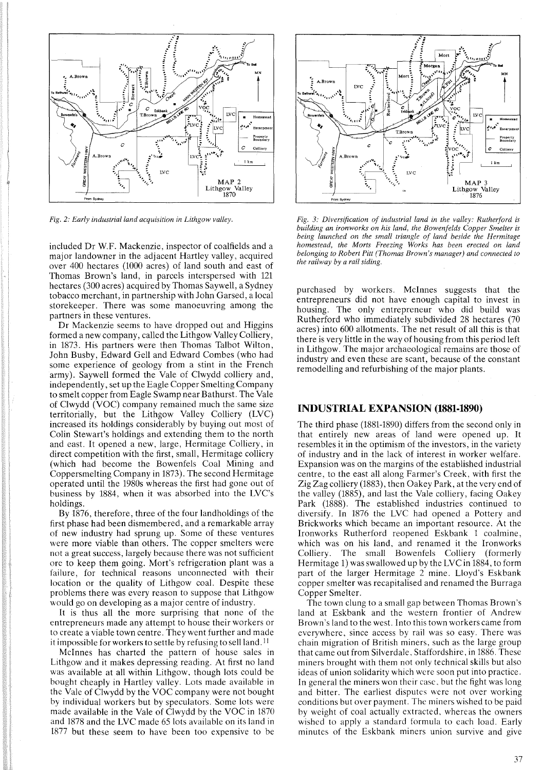

*Fig.* 2: *Early industrial land acquisition in Lithgow valley.*

included Dr W.F. Mackenzie, inspector of coalfields and a major landowner in the adjacent Hartley valley, acquired over 400 hectares (1000 acres) of land south and east of Thomas Brown's land, in parcels interspersed with 121 hectares (300 acres) acquired by Thomas Saywell, a Sydney tobacco merchant, in partnership with John Garsed, a local storekeeper. There was some manoeuvring among the partners in these ventures.

Dr Mackenzie seems to have dropped out and Higgins formed a new company, called the Lithgow Valley Colliery, in 1873. His partners were then Thomas Talbot Wilton, John Busby, Edward Gell and Edward Combes (who had some experience of geology from a stint in the French army). Saywell formed the Vale of Clwydd colliery and, independently, set up the Eagle Copper Smelting Company to smelt copper from Eagle Swamp near Bathurst. The Vale of Clwydd  $(VOC)$  company remained much the same size territorially, but the Lithgow Valley Colliery (LVe) increased its holdings considerably by buying out most of Colin Stewart's holdings and extending them to the north and east. It opened anew, large, Hermitage Colliery, in direct competition with the first, small, Hermitage colliery (which had become the Bowenfels Coal Mining and Coppersmelting Company in 1873). The second Hermitage operated until the 1980s whereas the first had gone out of business by 1884, when it was absorbed into the LVC's holdings.

By 1876, therefore, three of the four landholdings of the first phase had been dismembered, and a remarkable array of new industry had sprung up. Some of these ventures were more viable than others. The copper smelters were not a great success, largely because there was not sufficient ore to keep them going. Mort's refrigeration plant was a failure, for technical reasons unconnected with their location or the quality of Lithgow coal. Despite these problems there was every reason to suppose that Lithgow would go on developing as a major centre of industry.

It is thus all the more surprising that none of the entrepreneurs made any attempt to house their workers or to create a viable town centre. They went further and made it impossible for workers to settle by refusing to sell land. <sup>11</sup>

McInnes has charted the pattern of house sales in Lithgow and it makes depressing reading. At first no land was available at all within Lithgow, though lots could be bought cheaply in Hartley valley. Lots made available in the Yale of Clwydd by the YOC company were not bought by individual workers but by speculators. Some lots were made available in the Yale of Clwydd by the VOC in 1870 and 1878 and the LYC made 65 lots available on its land in 1877 but these seem to have been too expensive to be



*Fig.* 3: *Diversification of industrial land in the valley: Rutherford is building an ironworks on his land, the Bowenfelds Copper Smelter is being launched on the small triangle of land beside the Hermitage homestead, the Morts Freezing Works has been erected on land belonging to Robert Pitt (Thomas Brown's manager) and connected to the railway by a rail siding.*

purchased by workers. McInnes suggests that the entrepreneurs did not have enough capital to invest in housing. The only entrepreneur who did build was Rutherford who immediately subdivided 28 hectares (70 acres) into 600 allotments. The net result of all this is that there is very little in the way of housing from this period left in Lithgow. The major archaeological remains are those of industry and even these are scant, because of the constant remodelling and refurbishing of the major plants.

#### INDUSTRIAL EXPANSION (1881-1890)

The third phase (1881-1890) differs from the second only in that entirely new areas of land were opened up. It resembles it in the optimism of the investors, in the variety of industry and in the lack of interest in worker welfare. Expansion was on the margins of the established industrial centre, to the east all along Farmer's Creek, with first the Zig Zag colliery (1883), then Oakey Park, at the very end of the valley (1885), and last the Yale colliery, facing Oakey Park (1888). The established industries continued to diversify. In 1876 the LYC had opened a Pottery and Brickworks which became an important resource. At the Ironworks Rutherford reopened Eskbank 1 coalmine, which was on his land, and renamed it the Ironworks Colliery. The small Bowenfels Colliery (formerly Hermitage 1) was swallowed up by the LVC in 1884, to form part of the larger Hermitage 2 mine. Lloyd's Eskbank copper smelter was recapitalised and renamed the Burraga Copper Smelter.

The town clung to a small gap between Thomas Brown's land at Eskbank and the western frontier of Andrew Brown's land to the west. Into this town workers came from everywhere, since access by rail was so easy. There was chain migration of British miners, such as the large group that came out from Silverdale, Staffordshire, in 1886. These miners brought with them not only technical skills but also ideas of union solidarity which were soon put into practice. In general the miners won their case. but the fight was long and bitter. The earliest disputes were not over working conditions but over payment. The miners wished to be paid by weight of coal actually extracted, whereas the owners wished to apply a standard formula to each load. Early minutes of the Eskbank miners union survive and give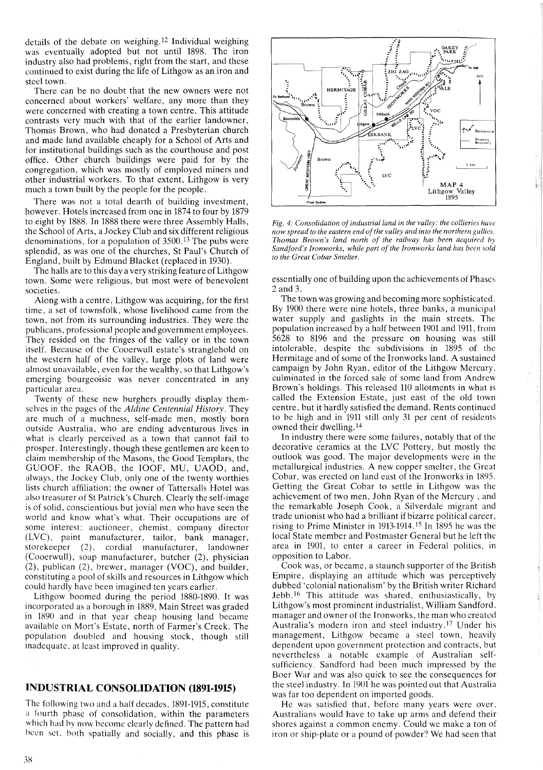details of the debate on weighing. <sup>12</sup> Individual weighing was eventually adopted but not until 1898. The iron industry also had problems, right from the start, and these continued to exist during the life of Lithgow as an iron and steel town.

There can be no doubt that the new owners were not concerned about workers' welfare, any more than they were concerned with creating a town centre. This attitude contrasts very much with that of the earlier landowner, Thomas Brown, who had donated a Presbyterian church and made land available cheaply for a School of Arts and for institutional buildings such as the courthouse and post office. Other church buildings were paid for by the congregation, which was mostly of employed miners and other industrial workers. To that extent, Lithgow is very much a town built by the people for the people.

There was not a total dearth of building investment, however. Hotels increased from one in 1874 to four by 1879 to eight by 1888. In 1888 there were three Assembly Halls, the School of Arts, a Jockey Club and six different religious denominations, for a population of 3500. <sup>13</sup> The pubs were splendid, as was one of the churches, St Paul's Church of England, built by Edmund Blacket (replaced in 1930).

The halls are to this day a very striking feature of Lithgow town. Some were religious, but most were of benevolent societies.

Along with a centre, Lithgow was acquiring, for the first time, a set of townsfolk, whose livelihood came from the town, not from its surrounding industries. They were the publicans, professional people and government employees. They resided on the fringes of the valley or in the town itself. Because of the Cooerwull estate's stranglehold on the western half of the valley, large plots of land were almost unavailable, even for the wealthy, so that Lithgow's emerging bourgeoisie was never concentrated in any particular area.

Twenty of these new burghers proudly display themselves in the pages of the *Aldine Centennial History.* They are much of a muchness, self-made men, mostly born outside Australia, who are ending adventurous lives in what is clearly perceived as a town that cannot fail to prosper. Interestingly, though these gentlemen are keen to claim membership of the Masons, the Good Templars, the GUOOF, the RAOB, the IOOF, MU, UAOD, and, always, the Jockey Club, only one of the twenty worthies lists church affiliation; the owner of Tattersalls Hotel was also treasurer of St Patrick's Church. Clearly the self-image is of solid, conscientious but jovial men who have seen the world and know what's what. Their occupations are of some interest: auctioneer, chemist, company director (LYC), paint manufacturer, tailor, bank manager, storekeeper (2), cordial manufacturer, landowner (Cooerwull), soap manufacturer, butcher (2), physician (2), publican (2), brewer, manager (YOC), and builder, constituting a pool of skills and resources in Lithgow which could hardly have been imagined ten years earlier.

Lithgow boomed during the period 1880-1890. It was incorporated as a borough in 1889, Main Street was graded in 1890 and in that year cheap housing land became available on Mort's Estate, north of Farmer's Creek. The population doubled and housing stock, though still inadequate, at least improved in quality.

# INDUSTRIAL CONSOLIDATION **(1891-1915)**

The following two and a half decades, 1891-1915, constitute a fourth phase of consolidation, within the parameters which had by now become clearly defined. The pattern had been set, both spatially and socially, and this phase is



*Fig.* 4: *Consolidation ofindustrial land in the valley: the collieries have now spread to the eastern end ofthe valley and into the northern gullies. Thomas Brown's land north of the railway has been acquired by Sandford's Ironworks, while part of the Ironworks land has been sold to the Great Cobar Smelter.*

essentially one of building upon the achievements of Phases 2 and 3.

The town was growing and becoming more sophisticated. By 1900 there were nine hotels, three banks, a municipal water supply and gaslights in the main streets. The population increased by a half between 1901 and 1911, from 5628 to 8196 and the pressure on housing was still intolerable, despite the subdivisions in 1895 of the Hermitage and of some of the Ironworks land. A sustained campaign by John Ryan, editor of the Lithgow Mercury, culminated in the forced sale of some land from Andrew Brown's holdings. This released 110 allotments in what is called the Extension Estate, just east of the old town centre, but it hardly satisfied the demand. Rents continued to be high and in 1911 still only 31 per cent of residents owned their dwelling. 14

In industry there were some failures, notably that of the decorative ceramics at the LYC Pottery, but mostly the outlook was good. The major developments were in the metallurgical industries. A new copper smelter, the Great Cobar, was erected on land east of the Ironworks in 1895. Getting the Great Cobar to settle in Lithgow was the achievement of two men, John Ryan of the Mercury, and the remarkable Joseph Cook, a Silverdale migrant and trade unionist who had a brilliant if bizarre political career, rising to Prime Minister in 1913-1914. <sup>15</sup> In 1895 he was the local State member and Postmaster General but he left the area in 1901, to enter a career in Federal politics, in opposition to Labor.

Cook was, or became, a staunch supporter of the British Empire, displaying an attitude which was perceptively dubbed 'colonial nationalism' by the British writer Richard Jebb. <sup>16</sup> This attitude was shared, enthusiastically, by Lithgow's most prominent industrialist, William Sandford, manager and owner of the Ironworks, the man who created Australia's modern iron and steel industry.l7 Under his management, Lithgow became a steel town, heavily dependent upon government protection and contracts, but nevertheless a notable example of Australian selfsufficiency. Sandford had been much impressed by the Boer War and was also quick to see the consequences for the steel industry. In 1901 he was pointed out that Australia was far too dependent on imported goods.

He was satisfied that, before many years were over, Australians would have to take up arms and defend their shores against a common enemy. Could we make a ton of iron or ship-plate or a pound of powder? We had seen that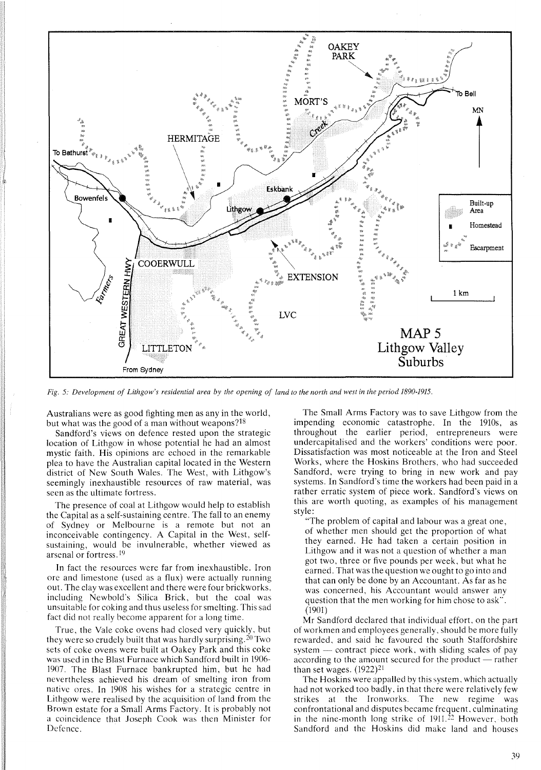

Fig. 5: Development of Lithgow's residential area by the opening of land to the north and west in the period 1890-1915.

Australians were as good fighting men as any in the world, but what was the good of a man without weapons?<sup>18</sup>

Sandford's views on defence rested upon the strategic location of Lithgow in whose potential he had an almost mystic faith. His opinions are echoed in the remarkable plea to have the Australian capital located in the Western district of New South Wales. The West, with Lithgow's seemingly inexhaustible resources of raw material, was seen as the ultimate fortress.

The presence of coal at Lithgow would help to establish the Capital as a self-sustaining centre. The fall to an enemy of Sydney or Melbourne is a remote but not an inconceivable contingency. A Capital in the West, selfsustaining, would be invulnerable, whether viewed as arsenal or fortress. <sup>19</sup>

In fact the resources were far from inexhaustible. Iron ore and limestone (used as a flux) were actually running out. The clay was excellent and there were four brickworks, including Newbold's Silica Brick, but the coal was unsuitable for coking and thus useless for smelting. This sad fact did not really become apparent for a long time.

True, the Vale coke ovens had closed very quickly, but they were so crudely built that was hardly surprising. <sup>20</sup> Two sets of coke ovens were built at Oakey Park and this coke was used in the Blast Furnace which Sandford built in 1906- 1907. The Blast Furnace bankrupted him, but he had nevertheless achieved his dream of smelting iron from native ores. In 1908 his wishes for a strategic centre in Lithgow were realised by the acquisition of land from the Brown estate for a Small Arms Factory. It is probably not a coincidence that Joseph Cook was then Minister for Defence.

The Small Arms Factory was to save Lithgow from the impending economic catastrophe. In the 191Os, as throughout the earlier period, entrepreneurs were undercapitalised and the workers' conditions were poor. Dissatisfaction was most noticeable at the Iron and Steel Works, where the Hoskins Brothers, who had succeeded Sandford, were trying to bring in new work and pay systems. In Sandford's time the workers had been paid in a rather erratic system of piece work. Sandford's views on this are worth quoting, as examples of his management style:

"The problem of capital and labour was a great one, of whether men should get the proportion of what they earned. He had taken a certain position in Lithgow and it was not a question of whether a man got two, three or five pounds per week, but what he earned. That was the question we ought to go into and that can only be done by an Accountant. As far as he was concerned, his Accountant would answer any question that the men working for him chose to ask". (1901)

Mr Sandford declared that individual effort, on the part of workmen and employees generally, should be more fully rewarded, and said he favoured the south Staffordshire system  $-$  contract piece work, with sliding scales of pay according to the amount secured for the product — rather than set wages. (1922)21

The Hoskins were appalled by this system, which actually had not worked too badly, in that there were relatively few strikes at the Ironworks. The new regime was confrontational and disputes became frequent, culminating in the nine-month long strike of  $1911<sup>22</sup>$  However, both Sandford and the Hoskins did make land and houses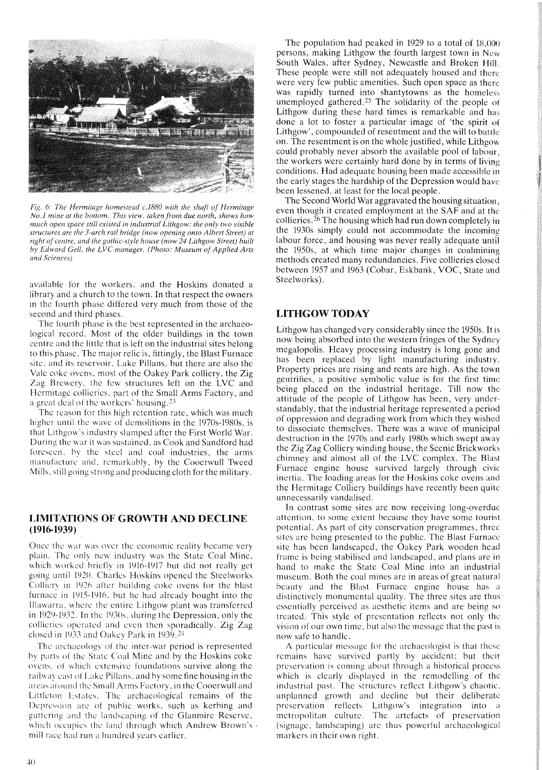

*Fig.* 6: *The Hermitage homestead c.1880 with the shaft of Hermitage No.1 mine at the bottom. This view. taken from due north, shows how much open space still existed in industrial Lithgow: the only two visible structures are the 3-arch rail bridge (now opening onto Albert Street) at right of centre, and the gothic-style house (now* 24 *Lithgow Street) built by Edward Cell, the LVC manager. (Photo: Museum ofApplied Arts and Sciences)*

available for the workers, and the Hoskins donated a library and a chureh to the town. In that respeet the owners in the fourth phase differed very mueh from those of the second and third phases.

The fourth phase is the best represented in the arehaeological record. Most of the older buildings in the town centre and the little that is left on the industrial sites belong to this phase. The major relic is, fittingly, the Blast Furnaee site, and its reservoir, Lake Pillans, but there are also the Yale coke ovens, most of the Oakey Park eolliery, the Zig Zag Brewery, the few struetures left on the LYC and Hermitage collieries, part of the Small Arms Faetory, and a great deal of the workers' housing. $23$ 

The reason for this high retention rate, which was much higher until the wave of demolitions in the 1970s-1980s, is that Lithgow's industry slumped after the First World War. During the warit was sustained, as Cook and Sandford had foreseen, hv the steel and coal industries, the arms manufacture and, remarkably, by the Cooerwull Tweed Mills, still going strong and producing cloth for the military.

## LIMITATIONS OF GROWTH AND DECLINE **(1916-1939)**

Once the war was over the economic reality beeame very plain. The only new industry was the State Coal Mine, which worked hriefly in 1916-1917 but did not really get going until 1920. Charles Hoskins opened the Steelworks Colliery in 1926 after huilding coke ovens for the blast furnace in 1915-1916, but he had already bought into the Illawarra, where the entire Lithgow plant was transferred in 1929-1932. In the 1930s, during the Depression, only the collieries operated and even then sporadieally. Zig Zag closed in 1933 and Oakey Park in 1939. 24

The archaeologv of the inter-war period is represented hy parts of the State Coal Mine and by the Hoskins coke ovens. of which extensive foundations survive along the railway east of Lake Pillans, and by some fine housing in the areas around the Small Arms Factory, in the Cooerwull and Littleton Estates. The archaeological remains of the Depression arc of public works, sueh as kerbing and guttering and the landscaping of the Glanmire Reserve, which occupies the land through which Andrew Brown's . mill race had run a hundred vears earlier.

The population had peaked in 1929 to a total of 18,000 persons, making Lithgow the fourth largest town in New South Wales, after Sydney, Newcastle and Broken Hill These people were still not adequately housed and there were very few public amenities. Sueh open space as there was rapidly turned into shantytowns as the homeless unemployed gathered.<sup>25</sup> The solidarity of the people of Lithgow during these hard times is remarkable and has done a lot to foster a partieular image of 'the spirit of Lithgow', compounded of resentment and the will to battle on. The resentment is on the whole justified, while Lithgow eould probably never absorb the available pool of labour, the workers were certainly hard done by in terms of living eonditions. Had adequate housing been made accessible in the early stages the hardship of the Depression would have been lessened, at least for the local people.

The Second World War aggravated the housing situation, even though it created employment at the SAF and at the collieries.  $26$  The housing which had run down completely in the 1930s simply could not aceommodate the ineoming labour foree, and housing was never really adequate until the 1950s, at which time major changes in coalmining methods created many redundancies. Five eollieries closed between 1957 and 1963 (Cobar, Eskbank, YOC, State and Steelworks).

# LITHGOW TODAY

Lithgow has changed very considerably since the 1950s. It is now being absorbed into the western fringes of the Sydney megalopolis. Heavy processing industry is long gone and has been replaced by light manufacturing industry. Property prices are rising and rents are high. As the town gentrifies, a positive symbolic value is for the first time being placed on the industrial heritage. Till now the attitude of the people of Lithgow has been, very understandably, that the industrial heritage represented a period of oppression and degrading work from which they wished to dissociate themselves. There was a wave of munieipal destruction in the 1970s and early 1980s which swept away the Zig Zag Colliery winding house, the Scenic Brickworks chimney and almost all of the LYC complex. The Blast Furnace engine house survived largely through civic inertia. The loading areas for the Hoskins coke ovens and the Hermitage Colliery buildings have recently been quite unnecessarily vandalised.

In contrast some sites are now receiving long-overdue attention, to some extent because they have some tourist potential. As part of city conservation programmes, three sites are being presented to the publie. The Blast Furnace site has been landscaped, the Oakey Park wooden head frame is being stabilised and landseaped, and plans are in hand to make the State Coal Mine into an industrial museum. Both the coal mines are in areas of great natural heauty and the Blast Furnace engine house has a distinctively monumental quality. The three sites are thus essentially pereeived as aesthetie items and are being so treated. This style of presentation reflects not only the vision of our own time, hut also the message that the past is now safe to handle.

A partieular message for the archaeologist is that these remains have survived partly by accident; hut their preservation is coming about through a historical process which is clearly displayed in the remodelling of the industrial past. The structures reflect Lithgow's chaotic, unplanned growth and decline hut their deliberate preservation reflects Lithgow's integration into a metropolitan culture. The artefacts of preservation (signage, landscaping) arc thus powerful archaeological markers in their own right.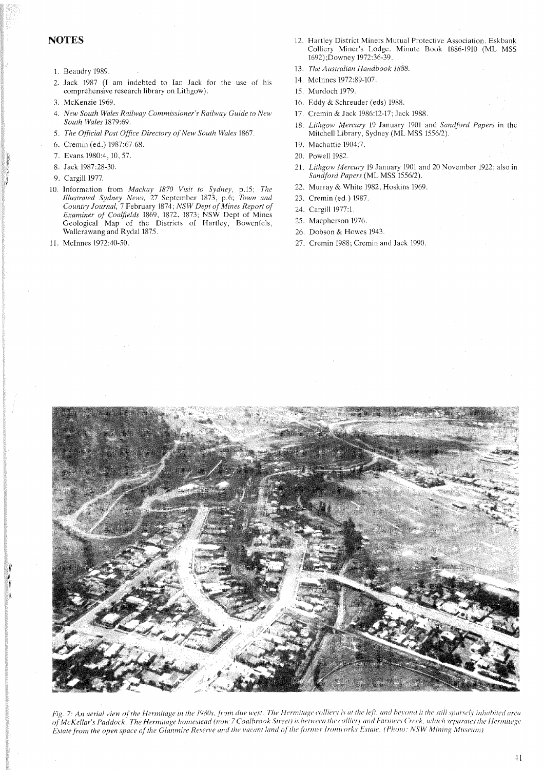# **NOTES**

- 1. Beaudry 1989.
- 2. Jack 1987 (I am indebted to Ian Jack for the use of his comprehensive research library on Lithgow).
- 3. McKenzie 1969.
- *4. New South Wales Railway Commissioner's Railway Guide to New South Wales* 1879:69.
- 5. The Official Post Office Directory of New South Wales 1867.
- 6. Cremin (ed.) 1987:67-68.
- 7. Evans 1980:4, 10,57.
- 8. Jack 1987:28-30.
- 9. Cargill 1977.
- 10. Information from *Mackay 1870 Visit to Sydney,* p.15; *The Illustrated Sydney News, 27 September 1873, p.6; Town and <br>Country Journal, 7 February 1874; <i>NSW Dept of Mines Report of Examiner of Coalfields* 1869, 1872, 1873; NSW Dept of Mines Geological Map of the Districts of Hartley, Bowenfels, Wallerawang and Rydal 1875.
- 11. McInnes 1972:40-50.
- 12. Hartley District Miners Mutual Protective Association. Eskbank Colliery Miner's Lodge. Minute Book 1886-1910 (ML MSS 1692);Downey 1972:36-39.
- *13. The Australian Handbook 1888.*
- 14. McInnes 1972:89-107.
- 15. Murdoch 1979.
- 16. Eddy & Schreuder (eds) 1988.
- 17. Cremin & Jack 1986:12-17; Jack 1988.
- 18. *Lithgow Mercury* 19 January 1901 and *Sandford Papers* in the Mitchell Library, Sydney (ML MSS 1556/2).
- 19. Machattie 1904:7.
- 20. Powell 1982.
- *21. Lithgow Mercury* 19 January 1901 and 20 November 1922; also in *Sandford Papers* (ML MSS 1556/2).
- 22. Murray & White 1982; Hoskins 1969.
- 23. Cremin (ed.) 1987.
- 24. Cargill 1977:1.
- 25. Macpherson 1976.
- 26. Dobson & Howes 1943.
- 27. Cremin 1988; Cremin and Jack 1990.



Fig. 7: An aerial view of the Hermitage in the 1980s, from due west. The Hermitage colliery is at the left, and beyond it the still sparsely inhabited area of McKellar's Paddock. The Hermitage homestead (now 7 Coalbrook Street) is between the colliery and Farmers Creek, which separates the Hermitage Estate from the open space of the Glanmire Reserve and the vacant land of the former Ironworks Estate. (Photo: NSW Mining Museum)